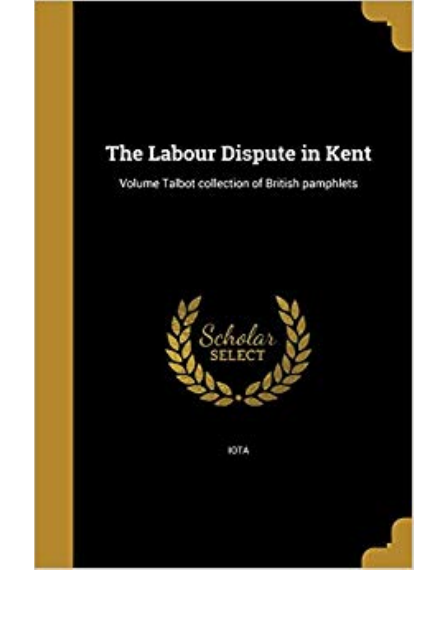## The Labour Dispute in Kent

Volume Talbot collection of British pamphlets



**JOTA**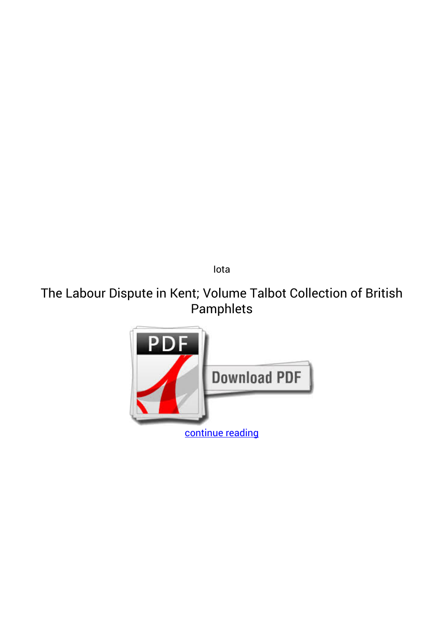*Iota*

## **The Labour Dispute in Kent; Volume Talbot Collection of British Pamphlets**

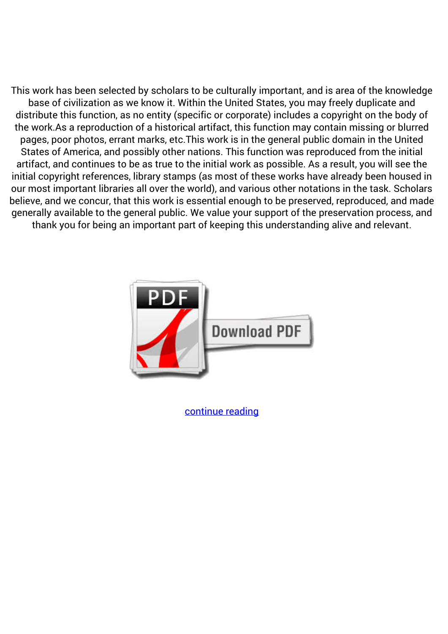This work has been selected by scholars to be culturally important, and is area of the knowledge base of civilization as we know it. Within the United States, you may freely duplicate and distribute this function, as no entity (specific or corporate) includes a copyright on the body of the work.As a reproduction of a historical artifact, this function may contain missing or blurred pages, poor photos, errant marks, etc.This work is in the general public domain in the United States of America, and possibly other nations. This function was reproduced from the initial artifact, and continues to be as true to the initial work as possible. As a result, you will see the initial copyright references, library stamps (as most of these works have already been housed in our most important libraries all over the world), and various other notations in the task. Scholars believe, and we concur, that this work is essential enough to be preserved, reproduced, and made generally available to the general public. We value your support of the preservation process, and thank you for being an important part of keeping this understanding alive and relevant.



[continue reading](http://bit.ly/2Tge8Fv)